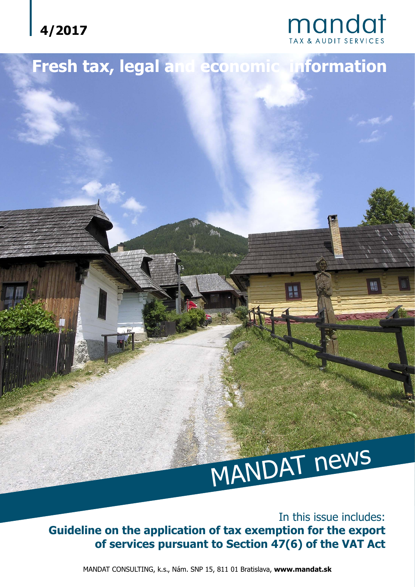



## **Fresh tax, legal and economic information**

# MANDAT news

In this issue includes: **Guideline on the application of tax exemption for the export of services pursuant to Section 47(6) of the VAT Act**

MANDAT CONSULTING, k.s., Nám. SNP 15, 811 01 Bratislava, **www.mandat.sk**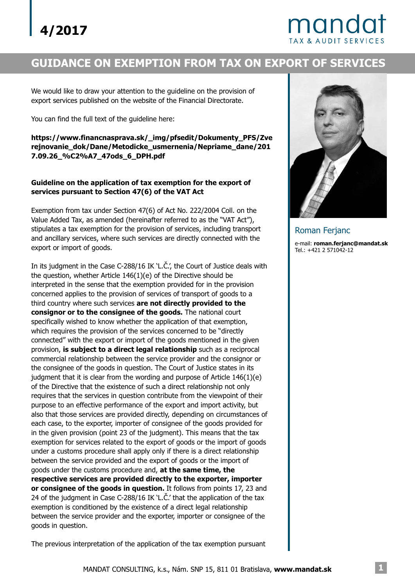# mando

#### **GUIDANCE ON EXEMPTION FROM TAX ON EXPORT OF SERVICES**

We would like to draw your attention to the guideline on the provision of export services published on the website of the Financial Directorate.

You can find the full text of the guideline here:

**https://www.financnasprava.sk/\_img/pfsedit/Dokumenty\_PFS/Zve rejnovanie\_dok/Dane/Metodicke\_usmernenia/Nepriame\_dane/201 7.09.26\_%C2%A7\_47ods\_6\_DPH.pdf**

#### **Guideline on the application of tax exemption for the export of services pursuant to Section 47(6) of the VAT Act**

Exemption from tax under Section 47(6) of Act No. 222/2004 Coll. on the Value Added Tax, as amended (hereinafter referred to as the "VAT Act"), stipulates a tax exemption for the provision of services, including transport and ancillary services, where such services are directly connected with the export or import of goods.

third country where such services **are not directly provided to the consignor or to the consignee of the goods.** The national court provision, is subject to a direct legal relationship such as a reciprocal goods under the customs procedure and, **at the same time, the respective services are provided directly to the exporter, importer or consignee of the goods in question.** It follows from points 17, 23 and In its judgment in the Case C-288/16 IK 'L.Č.', the Court of Justice deals with the question, whether Article 146(1)(e) of the Directive should be interpreted in the sense that the exemption provided for in the provision concerned applies to the provision of services of transport of goods to a specifically wished to know whether the application of that exemption, which requires the provision of the services concerned to be "directly connected" with the export or import of the goods mentioned in the given commercial relationship between the service provider and the consignor or the consignee of the goods in question. The Court of Justice states in its judgment that it is clear from the wording and purpose of Article 146(1)(e) of the Directive that the existence of such a direct relationship not only requires that the services in question contribute from the viewpoint of their purpose to an effective performance of the export and import activity, but also that those services are provided directly, depending on circumstances of each case, to the exporter, importer of consignee of the goods provided for in the given provision (point 23 of the judgment). This means that the tax exemption for services related to the export of goods or the import of goods under a customs procedure shall apply only if there is a direct relationship between the service provided and the export of goods or the import of 24 of the judgment in Case C-288/16 IK 'L.Č.' that the application of the tax exemption is conditioned by the existence of a direct legal relationship between the service provider and the exporter, importer or consignee of the goods in question.



e-mail: **roman.ferjanc@mandat.sk** Tel.: +421 2 571042-12 Roman Ferjanc

The previous interpretation of the application of the tax exemption pursuant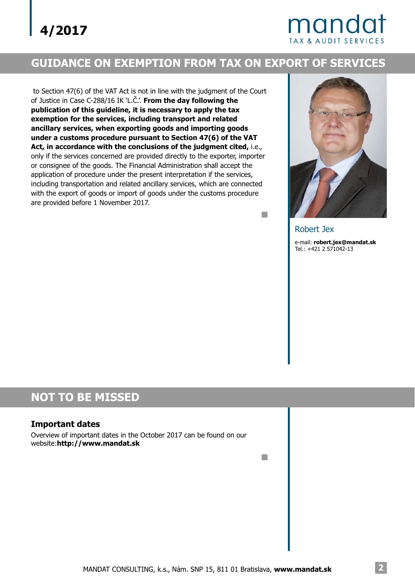### mandat **TAX & AUDIT SERVIC**

#### **GUIDANCE ON EXEMPTION FROM TAX ON EXPORT OF SERVICES**

to Section 47(6) of the VAT Act is not in line with the judgment of the Court of Justice in Case C-288/16 IK 'L.Č.'. **From the day following the Act, in accordance with the conclusions of the judgment cited,** i.e., only if the services concerned are provided directly to the exporter, importer or consignee of the goods. The Financial Administration shall accept the application of procedure under the present interpretation if the services, including transportation and related ancillary services, which are connected with the export of goods or import of goods under the customs procedure are provided before 1 November 2017. **publication of this guideline, it is necessary to apply the tax exemption for the services, including transport and related ancillary services, when exporting goods and importing goods under a customs procedure pursuant to Section 47(6) of the VAT**



Robert Jex

 $\mathbb{R}^n$ 

 $\mathbb{R}^n$ 

e-mail: **robert.jex@mandat.sk** Tel.: +421 2 571042-13

#### **NOT TO BE MISSED**

#### **Important dates**

Overview of important dates in the October 2017 can be found on our website:**http://www.mandat.sk**